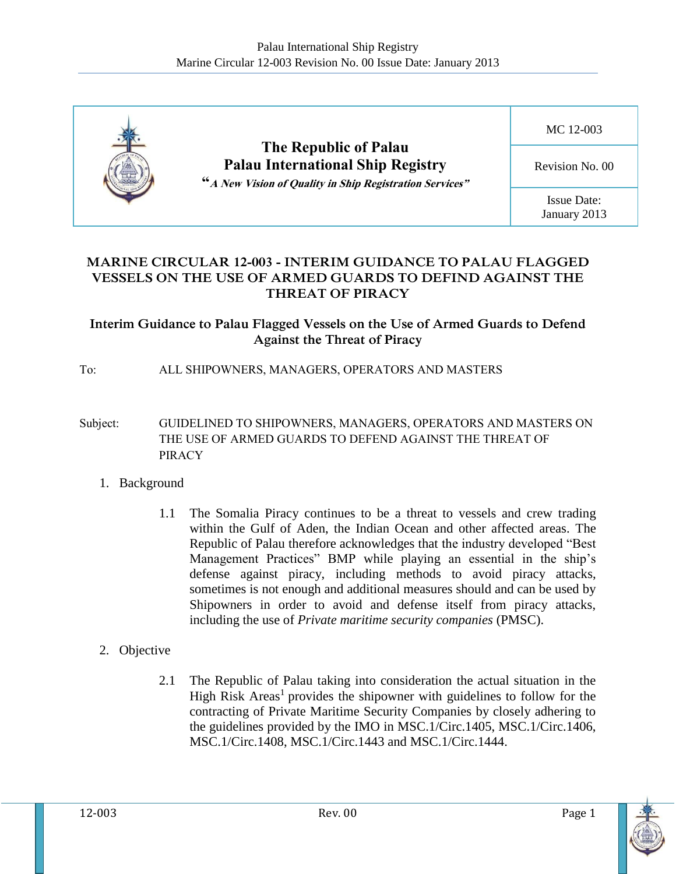

### **MARINE CIRCULAR 12-003 - INTERIM GUIDANCE TO PALAU FLAGGED VESSELS ON THE USE OF ARMED GUARDS TO DEFIND AGAINST THE THREAT OF PIRACY**

### **Interim Guidance to Palau Flagged Vessels on the Use of Armed Guards to Defend Against the Threat of Piracy**

### To: ALL SHIPOWNERS, MANAGERS, OPERATORS AND MASTERS

- Subject: GUIDELINED TO SHIPOWNERS, MANAGERS, OPERATORS AND MASTERS ON THE USE OF ARMED GUARDS TO DEFEND AGAINST THE THREAT OF **PIRACY** 
	- 1. Background
		- 1.1 The Somalia Piracy continues to be a threat to vessels and crew trading within the Gulf of Aden, the Indian Ocean and other affected areas. The Republic of Palau therefore acknowledges that the industry developed "Best Management Practices" BMP while playing an essential in the ship's defense against piracy, including methods to avoid piracy attacks, sometimes is not enough and additional measures should and can be used by Shipowners in order to avoid and defense itself from piracy attacks, including the use of *Private maritime security companies* (PMSC).

## 2. Objective

2.1 The Republic of Palau taking into consideration the actual situation in the High Risk Areas<sup>1</sup> provides the shipowner with guidelines to follow for the contracting of Private Maritime Security Companies by closely adhering to the guidelines provided by the IMO in MSC.1/Circ.1405, MSC.1/Circ.1406, MSC.1/Circ.1408, MSC.1/Circ.1443 and MSC.1/Circ.1444.

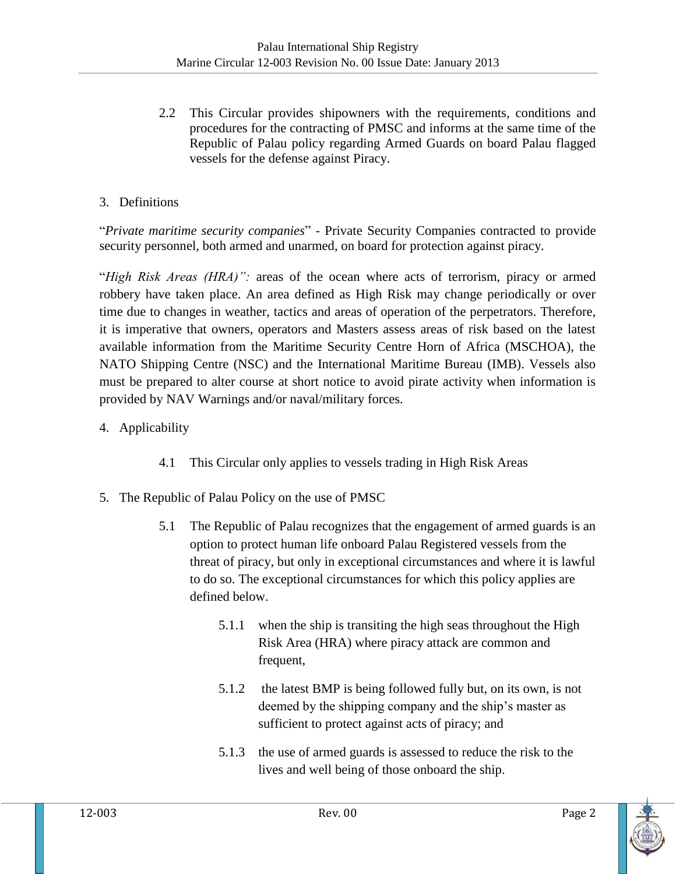2.2 This Circular provides shipowners with the requirements, conditions and procedures for the contracting of PMSC and informs at the same time of the Republic of Palau policy regarding Armed Guards on board Palau flagged vessels for the defense against Piracy.

# 3. Definitions

"*Private maritime security companies*" - Private Security Companies contracted to provide security personnel, both armed and unarmed, on board for protection against piracy.

"*High Risk Areas (HRA)":* areas of the ocean where acts of terrorism, piracy or armed robbery have taken place. An area defined as High Risk may change periodically or over time due to changes in weather, tactics and areas of operation of the perpetrators. Therefore, it is imperative that owners, operators and Masters assess areas of risk based on the latest available information from the Maritime Security Centre Horn of Africa (MSCHOA), the NATO Shipping Centre (NSC) and the International Maritime Bureau (IMB). Vessels also must be prepared to alter course at short notice to avoid pirate activity when information is provided by NAV Warnings and/or naval/military forces.

- 4. Applicability
	- 4.1 This Circular only applies to vessels trading in High Risk Areas
- 5. The Republic of Palau Policy on the use of PMSC
	- 5.1 The Republic of Palau recognizes that the engagement of armed guards is an option to protect human life onboard Palau Registered vessels from the threat of piracy, but only in exceptional circumstances and where it is lawful to do so. The exceptional circumstances for which this policy applies are defined below.
		- 5.1.1 when the ship is transiting the high seas throughout the High Risk Area (HRA) where piracy attack are common and frequent,
		- 5.1.2 the latest BMP is being followed fully but, on its own, is not deemed by the shipping company and the ship's master as sufficient to protect against acts of piracy; and
		- 5.1.3 the use of armed guards is assessed to reduce the risk to the lives and well being of those onboard the ship.

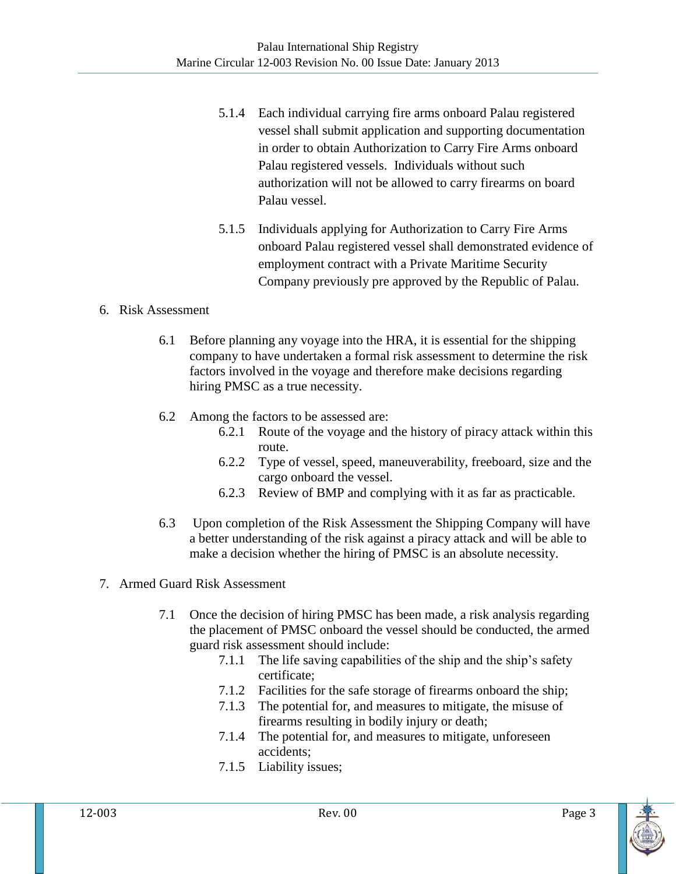- 5.1.4 Each individual carrying fire arms onboard Palau registered vessel shall submit application and supporting documentation in order to obtain Authorization to Carry Fire Arms onboard Palau registered vessels. Individuals without such authorization will not be allowed to carry firearms on board Palau vessel.
- 5.1.5 Individuals applying for Authorization to Carry Fire Arms onboard Palau registered vessel shall demonstrated evidence of employment contract with a Private Maritime Security Company previously pre approved by the Republic of Palau.

#### 6. Risk Assessment

- 6.1 Before planning any voyage into the HRA, it is essential for the shipping company to have undertaken a formal risk assessment to determine the risk factors involved in the voyage and therefore make decisions regarding hiring PMSC as a true necessity.
- 6.2 Among the factors to be assessed are:
	- 6.2.1 Route of the voyage and the history of piracy attack within this route.
	- 6.2.2 Type of vessel, speed, maneuverability, freeboard, size and the cargo onboard the vessel.
	- 6.2.3 Review of BMP and complying with it as far as practicable.
- 6.3 Upon completion of the Risk Assessment the Shipping Company will have a better understanding of the risk against a piracy attack and will be able to make a decision whether the hiring of PMSC is an absolute necessity.
- 7. Armed Guard Risk Assessment
	- 7.1 Once the decision of hiring PMSC has been made, a risk analysis regarding the placement of PMSC onboard the vessel should be conducted, the armed guard risk assessment should include:
		- 7.1.1 The life saving capabilities of the ship and the ship's safety certificate;
		- 7.1.2 Facilities for the safe storage of firearms onboard the ship;
		- 7.1.3 The potential for, and measures to mitigate, the misuse of firearms resulting in bodily injury or death;
		- 7.1.4 The potential for, and measures to mitigate, unforeseen accidents;
		- 7.1.5 Liability issues;

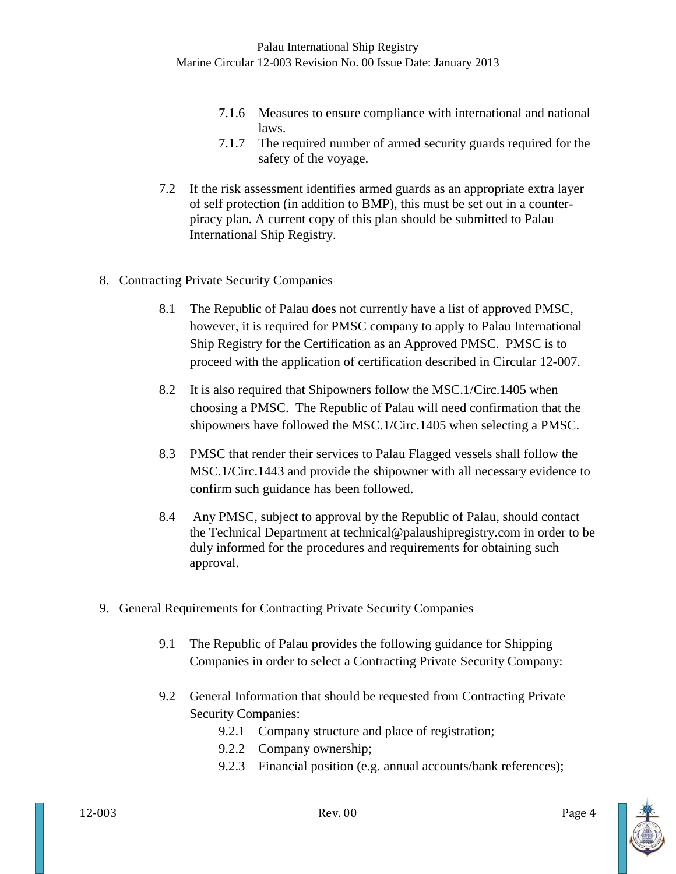- 7.1.6 Measures to ensure compliance with international and national laws.
- 7.1.7 The required number of armed security guards required for the safety of the voyage.
- 7.2 If the risk assessment identifies armed guards as an appropriate extra layer of self protection (in addition to BMP), this must be set out in a counterpiracy plan. A current copy of this plan should be submitted to Palau International Ship Registry.
- 8. Contracting Private Security Companies
	- 8.1 The Republic of Palau does not currently have a list of approved PMSC, however, it is required for PMSC company to apply to Palau International Ship Registry for the Certification as an Approved PMSC. PMSC is to proceed with the application of certification described in Circular 12-007.
	- 8.2 It is also required that Shipowners follow the MSC.1/Circ.1405 when choosing a PMSC. The Republic of Palau will need confirmation that the shipowners have followed the MSC.1/Circ.1405 when selecting a PMSC.
	- 8.3 PMSC that render their services to Palau Flagged vessels shall follow the MSC.1/Circ.1443 and provide the shipowner with all necessary evidence to confirm such guidance has been followed.
	- 8.4 Any PMSC, subject to approval by the Republic of Palau, should contact the Technical Department at [technical@palaushipregistry.com](mailto:technical@palaushipregistry.com) in order to be duly informed for the procedures and requirements for obtaining such approval.
- 9. General Requirements for Contracting Private Security Companies
	- 9.1 The Republic of Palau provides the following guidance for Shipping Companies in order to select a Contracting Private Security Company:
	- 9.2 General Information that should be requested from Contracting Private Security Companies:
		- 9.2.1 Company structure and place of registration;
		- 9.2.2 Company ownership;
		- 9.2.3 Financial position (e.g. annual accounts/bank references);

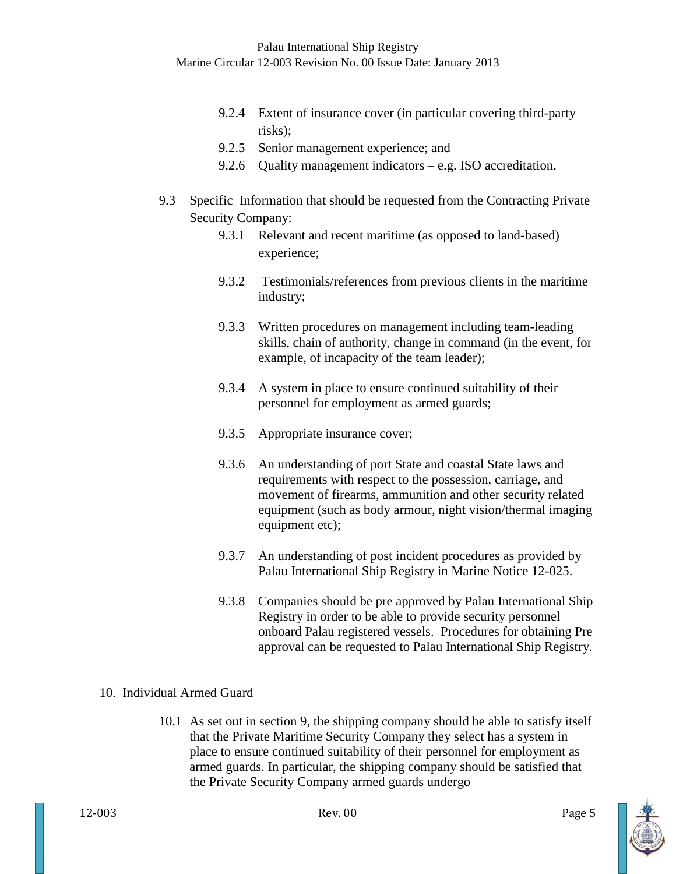- 9.2.4 Extent of insurance cover (in particular covering third-party risks);
- 9.2.5 Senior management experience; and
- 9.2.6 Quality management indicators e.g. ISO accreditation.
- 9.3 Specific Information that should be requested from the Contracting Private Security Company:
	- 9.3.1 Relevant and recent maritime (as opposed to land-based) experience;
	- 9.3.2 Testimonials/references from previous clients in the maritime industry;
	- 9.3.3 Written procedures on management including team-leading skills, chain of authority, change in command (in the event, for example, of incapacity of the team leader);
	- 9.3.4 A system in place to ensure continued suitability of their personnel for employment as armed guards;
	- 9.3.5 Appropriate insurance cover;
	- 9.3.6 An understanding of port State and coastal State laws and requirements with respect to the possession, carriage, and movement of firearms, ammunition and other security related equipment (such as body armour, night vision/thermal imaging equipment etc);
	- 9.3.7 An understanding of post incident procedures as provided by Palau International Ship Registry in Marine Notice 12-025.
	- 9.3.8 Companies should be pre approved by Palau International Ship Registry in order to be able to provide security personnel onboard Palau registered vessels. Procedures for obtaining Pre approval can be requested to Palau International Ship Registry.

# 10. Individual Armed Guard

10.1 As set out in section 9, the shipping company should be able to satisfy itself that the Private Maritime Security Company they select has a system in place to ensure continued suitability of their personnel for employment as armed guards. In particular, the shipping company should be satisfied that the Private Security Company armed guards undergo

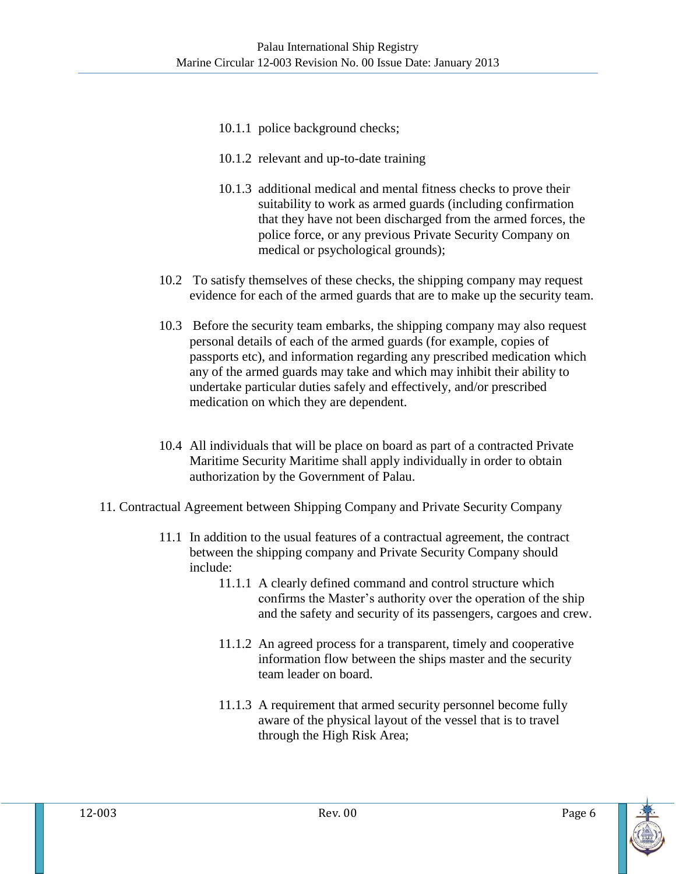- 10.1.1 police background checks;
- 10.1.2 relevant and up-to-date training
- 10.1.3 additional medical and mental fitness checks to prove their suitability to work as armed guards (including confirmation that they have not been discharged from the armed forces, the police force, or any previous Private Security Company on medical or psychological grounds);
- 10.2 To satisfy themselves of these checks, the shipping company may request evidence for each of the armed guards that are to make up the security team.
- 10.3 Before the security team embarks, the shipping company may also request personal details of each of the armed guards (for example, copies of passports etc), and information regarding any prescribed medication which any of the armed guards may take and which may inhibit their ability to undertake particular duties safely and effectively, and/or prescribed medication on which they are dependent.
- 10.4 All individuals that will be place on board as part of a contracted Private Maritime Security Maritime shall apply individually in order to obtain authorization by the Government of Palau.
- 11. Contractual Agreement between Shipping Company and Private Security Company
	- 11.1 In addition to the usual features of a contractual agreement, the contract between the shipping company and Private Security Company should include:
		- 11.1.1 A clearly defined command and control structure which confirms the Master's authority over the operation of the ship and the safety and security of its passengers, cargoes and crew.
		- 11.1.2 An agreed process for a transparent, timely and cooperative information flow between the ships master and the security team leader on board.
		- 11.1.3 A requirement that armed security personnel become fully aware of the physical layout of the vessel that is to travel through the High Risk Area;